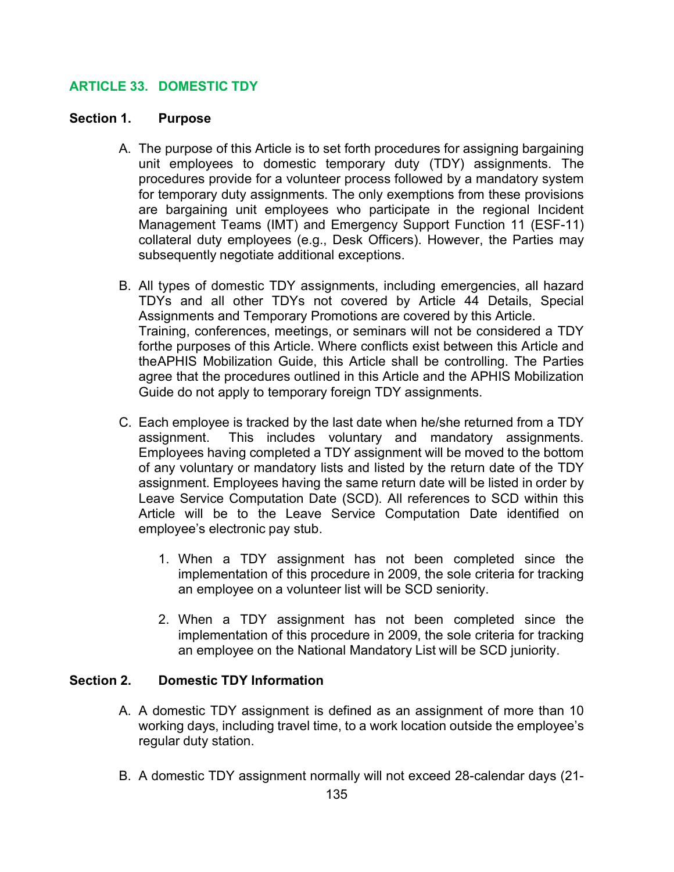# ARTICLE 33. DOMESTIC TDY

#### Section 1. Purpose

- A. The purpose of this Article is to set forth procedures for assigning bargaining unit employees to domestic temporary duty (TDY) assignments. The procedures provide for a volunteer process followed by a mandatory system for temporary duty assignments. The only exemptions from these provisions are bargaining unit employees who participate in the regional Incident Management Teams (IMT) and Emergency Support Function 11 (ESF-11) collateral duty employees (e.g., Desk Officers). However, the Parties may subsequently negotiate additional exceptions.
- B. All types of domestic TDY assignments, including emergencies, all hazard TDYs and all other TDYs not covered by Article 44 Details, Special Assignments and Temporary Promotions are covered by this Article. Training, conferences, meetings, or seminars will not be considered a TDY forthe purposes of this Article. Where conflicts exist between this Article and the APHIS Mobilization Guide, this Article shall be controlling. The Parties agree that the procedures outlined in this Article and the APHIS Mobilization Guide do not apply to temporary foreign TDY assignments.
- C. Each employee is tracked by the last date when he/she returned from a TDY assignment. This includes voluntary and mandatory assignments. Employees having completed a TDY assignment will be moved to the bottom of any voluntary or mandatory lists and listed by the return date of the TDY assignment. Employees having the same return date will be listed in order by Leave Service Computation Date (SCD). All references to SCD within this Article will be to the Leave Service Computation Date identified on employee's electronic pay stub.
	- 1. When a TDY assignment has not been completed since the implementation of this procedure in 2009, the sole criteria for tracking an employee on a volunteer list will be SCD seniority.
	- 2. When a TDY assignment has not been completed since the implementation of this procedure in 2009, the sole criteria for tracking an employee on the National Mandatory List will be SCD juniority.

#### Section 2. Domestic TDY Information

- A. A domestic TDY assignment is defined as an assignment of more than 10 working days, including travel time, to a work location outside the employee's regular duty station.
- B. A domestic TDY assignment normally will not exceed 28-calendar days (21-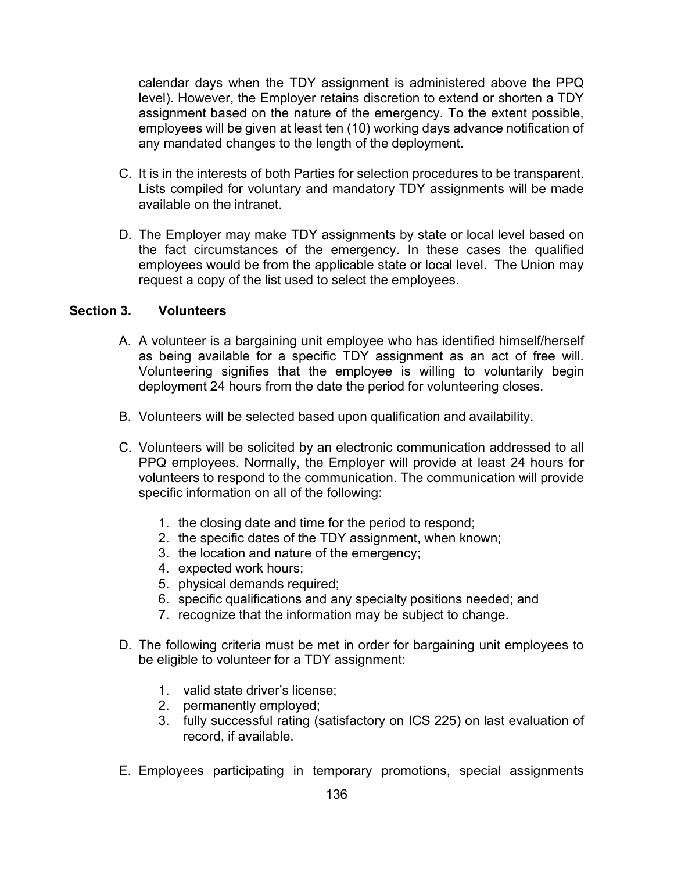calendar days when the TDY assignment is administered above the PPQ level). However, the Employer retains discretion to extend or shorten a TDY assignment based on the nature of the emergency. To the extent possible, employees will be given at least ten (10) working days advance notification of any mandated changes to the length of the deployment.

- C. It is in the interests of both Parties for selection procedures to be transparent. Lists compiled for voluntary and mandatory TDY assignments will be made available on the intranet.
- D. The Employer may make TDY assignments by state or local level based on the fact circumstances of the emergency. In these cases the qualified employees would be from the applicable state or local level. The Union may request a copy of the list used to select the employees.

#### Section 3. Volunteers

- A. A volunteer is a bargaining unit employee who has identified himself/herself as being available for a specific TDY assignment as an act of free will. Volunteering signifies that the employee is willing to voluntarily begin deployment 24 hours from the date the period for volunteering closes.
- B. Volunteers will be selected based upon qualification and availability.
- C. Volunteers will be solicited by an electronic communication addressed to all PPQ employees. Normally, the Employer will provide at least 24 hours for volunteers to respond to the communication. The communication will provide specific information on all of the following:
	- 1. the closing date and time for the period to respond;
	- 2. the specific dates of the TDY assignment, when known;
	- 3. the location and nature of the emergency;
	- 4. expected work hours;
	- 5. physical demands required;
	- 6. specific qualifications and any specialty positions needed; and
	- 7. recognize that the information may be subject to change.
- D. The following criteria must be met in order for bargaining unit employees to be eligible to volunteer for a TDY assignment:
	- 1. valid state driver's license;
	- 2. permanently employed;
	- 3. fully successful rating (satisfactory on ICS 225) on last evaluation of record, if available.
- E. Employees participating in temporary promotions, special assignments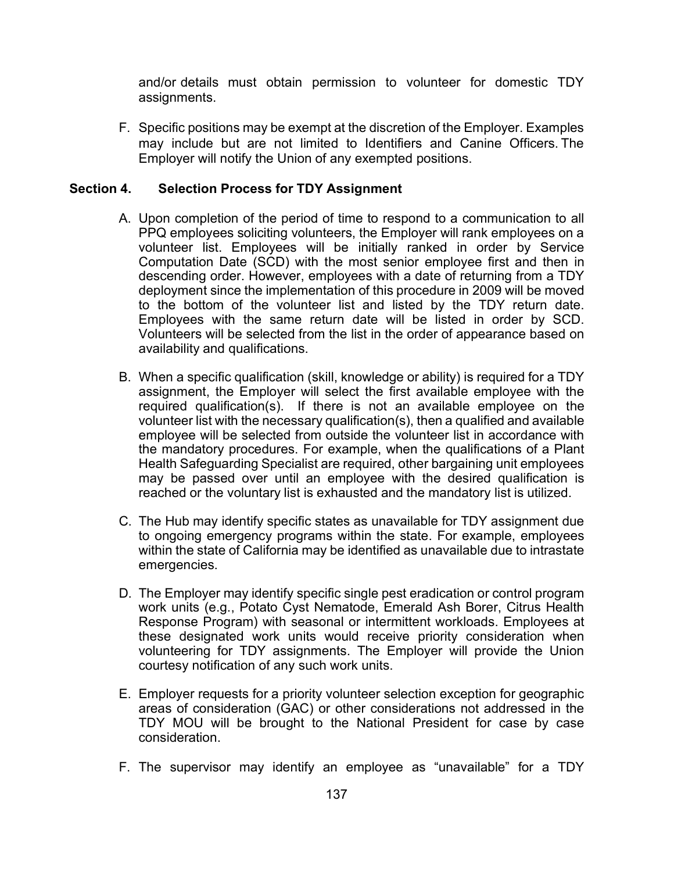and/or details must obtain permission to volunteer for domestic TDY assignments.

F. Specific positions may be exempt at the discretion of the Employer. Examples may include but are not limited to Identifiers and Canine Officers. The Employer will notify the Union of any exempted positions.

### Section 4. Selection Process for TDY Assignment

- A. Upon completion of the period of time to respond to a communication to all PPQ employees soliciting volunteers, the Employer will rank employees on a volunteer list. Employees will be initially ranked in order by Service Computation Date (SCD) with the most senior employee first and then in descending order. However, employees with a date of returning from a TDY deployment since the implementation of this procedure in 2009 will be moved to the bottom of the volunteer list and listed by the TDY return date. Employees with the same return date will be listed in order by SCD. Volunteers will be selected from the list in the order of appearance based on availability and qualifications.
- B. When a specific qualification (skill, knowledge or ability) is required for a TDY assignment, the Employer will select the first available employee with the required qualification(s). If there is not an available employee on the volunteer list with the necessary qualification(s), then a qualified and available employee will be selected from outside the volunteer list in accordance with the mandatory procedures. For example, when the qualifications of a Plant Health Safeguarding Specialist are required, other bargaining unit employees may be passed over until an employee with the desired qualification is reached or the voluntary list is exhausted and the mandatory list is utilized.
- C. The Hub may identify specific states as unavailable for TDY assignment due to ongoing emergency programs within the state. For example, employees within the state of California may be identified as unavailable due to intrastate emergencies.
- D. The Employer may identify specific single pest eradication or control program work units (e.g., Potato Cyst Nematode, Emerald Ash Borer, Citrus Health Response Program) with seasonal or intermittent workloads. Employees at these designated work units would receive priority consideration when volunteering for TDY assignments. The Employer will provide the Union courtesy notification of any such work units.
- E. Employer requests for a priority volunteer selection exception for geographic areas of consideration (GAC) or other considerations not addressed in the TDY MOU will be brought to the National President for case by case consideration.
- F. The supervisor may identify an employee as "unavailable" for a TDY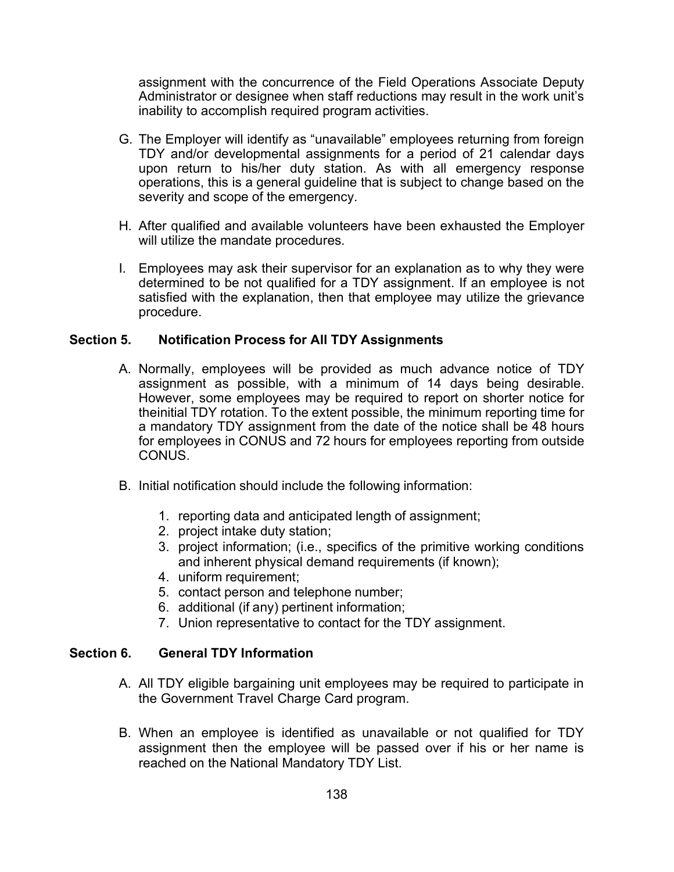assignment with the concurrence of the Field Operations Associate Deputy Administrator or designee when staff reductions may result in the work unit's inability to accomplish required program activities.

- G. The Employer will identify as "unavailable" employees returning from foreign TDY and/or developmental assignments for a period of 21 calendar days upon return to his/her duty station. As with all emergency response operations, this is a general guideline that is subject to change based on the severity and scope of the emergency.
- H. After qualified and available volunteers have been exhausted the Employer will utilize the mandate procedures.
- I. Employees may ask their supervisor for an explanation as to why they were determined to be not qualified for a TDY assignment. If an employee is not satisfied with the explanation, then that employee may utilize the grievance procedure.

#### Section 5. Notification Process for All TDY Assignments

- A. Normally, employees will be provided as much advance notice of TDY assignment as possible, with a minimum of 14 days being desirable. However, some employees may be required to report on shorter notice for theinitial TDY rotation. To the extent possible, the minimum reporting time for a mandatory TDY assignment from the date of the notice shall be 48 hours for employees in CONUS and 72 hours for employees reporting from outside CONUS.
- B. Initial notification should include the following information:
	- 1. reporting data and anticipated length of assignment;
	- 2. project intake duty station;
	- 3. project information; (i.e., specifics of the primitive working conditions and inherent physical demand requirements (if known);
	- 4. uniform requirement;
	- 5. contact person and telephone number;
	- 6. additional (if any) pertinent information;
	- 7. Union representative to contact for the TDY assignment.

#### Section 6. General TDY Information

- A. All TDY eligible bargaining unit employees may be required to participate in the Government Travel Charge Card program.
- B. When an employee is identified as unavailable or not qualified for TDY assignment then the employee will be passed over if his or her name is reached on the National Mandatory TDY List.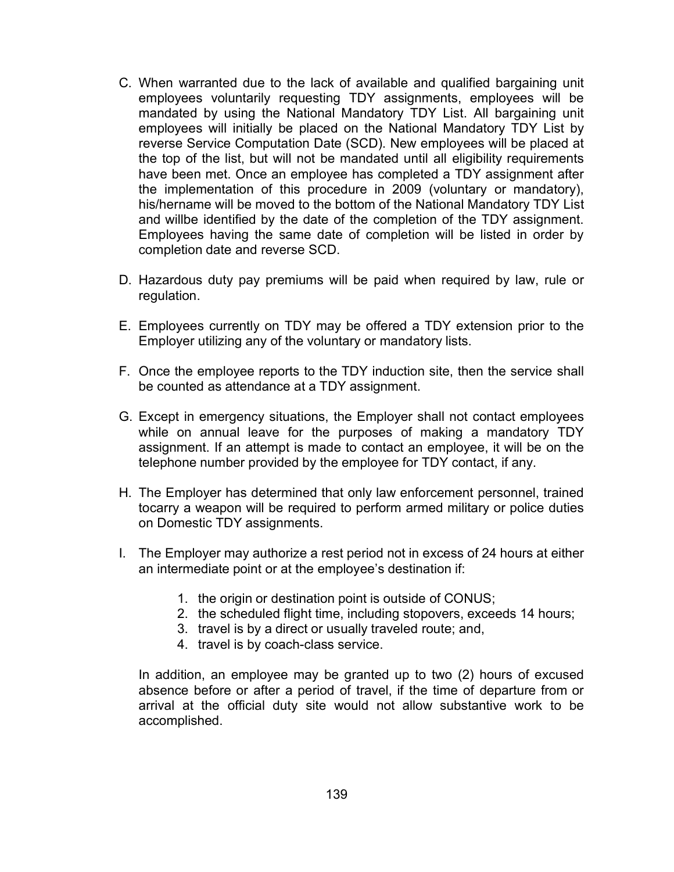- C. When warranted due to the lack of available and qualified bargaining unit employees voluntarily requesting TDY assignments, employees will be mandated by using the National Mandatory TDY List. All bargaining unit employees will initially be placed on the National Mandatory TDY List by reverse Service Computation Date (SCD). New employees will be placed at the top of the list, but will not be mandated until all eligibility requirements have been met. Once an employee has completed a TDY assignment after the implementation of this procedure in 2009 (voluntary or mandatory), his/hername will be moved to the bottom of the National Mandatory TDY List and willbe identified by the date of the completion of the TDY assignment. Employees having the same date of completion will be listed in order by completion date and reverse SCD.
- D. Hazardous duty pay premiums will be paid when required by law, rule or regulation.
- E. Employees currently on TDY may be offered a TDY extension prior to the Employer utilizing any of the voluntary or mandatory lists.
- F. Once the employee reports to the TDY induction site, then the service shall be counted as attendance at a TDY assignment.
- G. Except in emergency situations, the Employer shall not contact employees while on annual leave for the purposes of making a mandatory TDY assignment. If an attempt is made to contact an employee, it will be on the telephone number provided by the employee for TDY contact, if any.
- H. The Employer has determined that only law enforcement personnel, trained tocarry a weapon will be required to perform armed military or police duties on Domestic TDY assignments.
- I. The Employer may authorize a rest period not in excess of 24 hours at either an intermediate point or at the employee's destination if:
	- 1. the origin or destination point is outside of CONUS;
	- 2. the scheduled flight time, including stopovers, exceeds 14 hours;
	- 3. travel is by a direct or usually traveled route; and,
	- 4. travel is by coach-class service.

In addition, an employee may be granted up to two (2) hours of excused absence before or after a period of travel, if the time of departure from or arrival at the official duty site would not allow substantive work to be accomplished.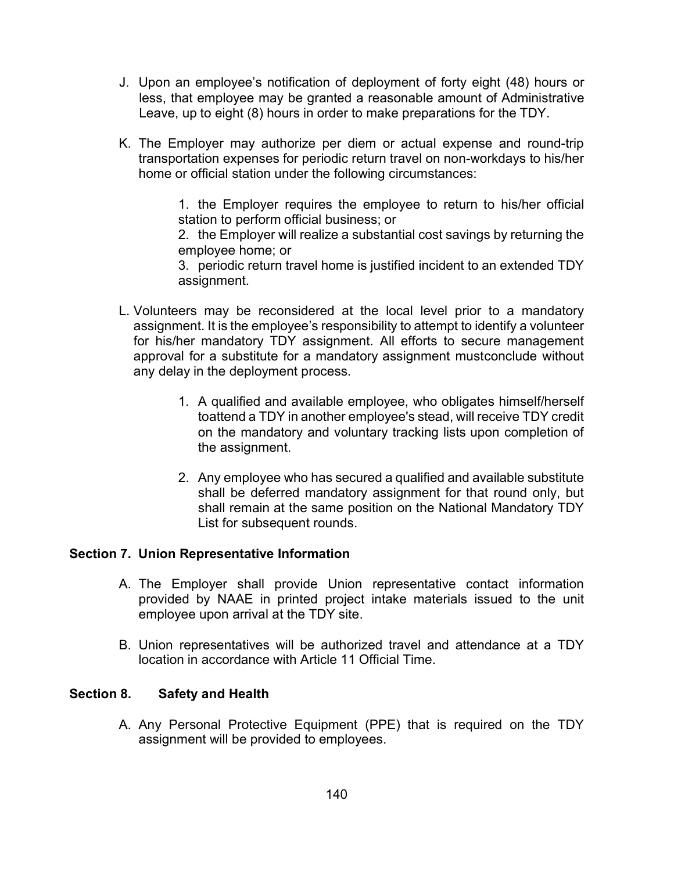- J. Upon an employee's notification of deployment of forty eight (48) hours or less, that employee may be granted a reasonable amount of Administrative Leave, up to eight (8) hours in order to make preparations for the TDY.
- K. The Employer may authorize per diem or actual expense and round-trip transportation expenses for periodic return travel on non-workdays to his/her home or official station under the following circumstances:

1. the Employer requires the employee to return to his/her official station to perform official business; or

2. the Employer will realize a substantial cost savings by returning the employee home; or

3. periodic return travel home is justified incident to an extended TDY assignment.

- L. Volunteers may be reconsidered at the local level prior to a mandatory assignment. It is the employee's responsibility to attempt to identify a volunteer for his/her mandatory TDY assignment. All efforts to secure management approval for a substitute for a mandatory assignment mustconclude without any delay in the deployment process.
	- 1. A qualified and available employee, who obligates himself/herself toattend a TDY in another employee's stead, will receive TDY credit on the mandatory and voluntary tracking lists upon completion of the assignment.
	- 2. Any employee who has secured a qualified and available substitute shall be deferred mandatory assignment for that round only, but shall remain at the same position on the National Mandatory TDY List for subsequent rounds.

### Section 7. Union Representative Information

- A. The Employer shall provide Union representative contact information provided by NAAE in printed project intake materials issued to the unit employee upon arrival at the TDY site.
- B. Union representatives will be authorized travel and attendance at a TDY location in accordance with Article 11 Official Time.

#### Section 8. Safety and Health

A. Any Personal Protective Equipment (PPE) that is required on the TDY assignment will be provided to employees.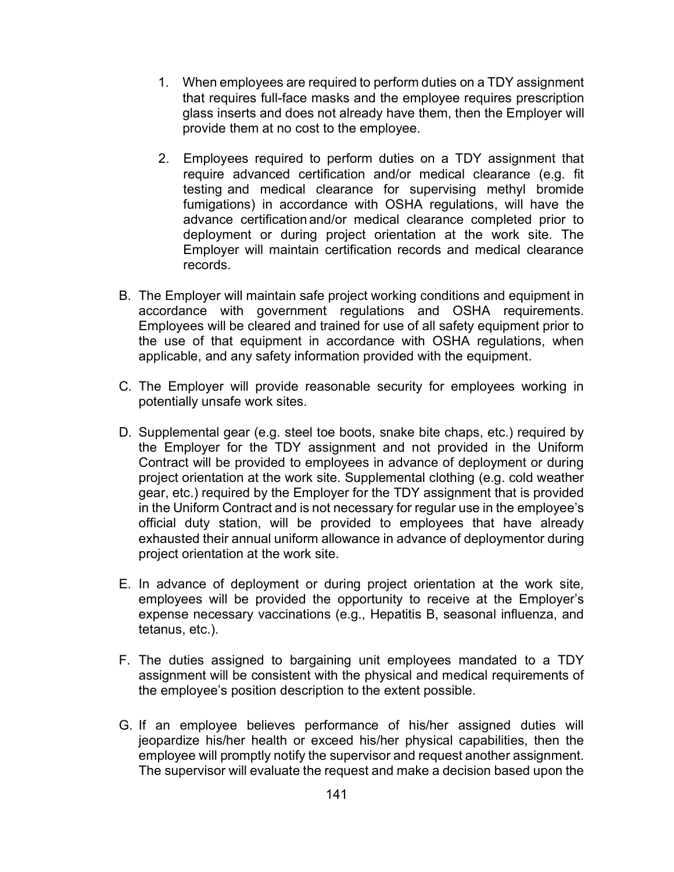- 1. When employees are required to perform duties on a TDY assignment that requires full-face masks and the employee requires prescription glass inserts and does not already have them, then the Employer will provide them at no cost to the employee.
- 2. Employees required to perform duties on a TDY assignment that require advanced certification and/or medical clearance (e.g. fit testing and medical clearance for supervising methyl bromide fumigations) in accordance with OSHA regulations, will have the advance certification and/or medical clearance completed prior to deployment or during project orientation at the work site. The Employer will maintain certification records and medical clearance records.
- B. The Employer will maintain safe project working conditions and equipment in accordance with government regulations and OSHA requirements. Employees will be cleared and trained for use of all safety equipment prior to the use of that equipment in accordance with OSHA regulations, when applicable, and any safety information provided with the equipment.
- C. The Employer will provide reasonable security for employees working in potentially unsafe work sites.
- D. Supplemental gear (e.g. steel toe boots, snake bite chaps, etc.) required by the Employer for the TDY assignment and not provided in the Uniform Contract will be provided to employees in advance of deployment or during project orientation at the work site. Supplemental clothing (e.g. cold weather gear, etc.) required by the Employer for the TDY assignment that is provided in the Uniform Contract and is not necessary for regular use in the employee's official duty station, will be provided to employees that have already exhausted their annual uniform allowance in advance of deploymentor during project orientation at the work site.
- E. In advance of deployment or during project orientation at the work site, employees will be provided the opportunity to receive at the Employer's expense necessary vaccinations (e.g., Hepatitis B, seasonal influenza, and tetanus, etc.).
- F. The duties assigned to bargaining unit employees mandated to a TDY assignment will be consistent with the physical and medical requirements of the employee's position description to the extent possible.
- G. If an employee believes performance of his/her assigned duties will jeopardize his/her health or exceed his/her physical capabilities, then the employee will promptly notify the supervisor and request another assignment. The supervisor will evaluate the request and make a decision based upon the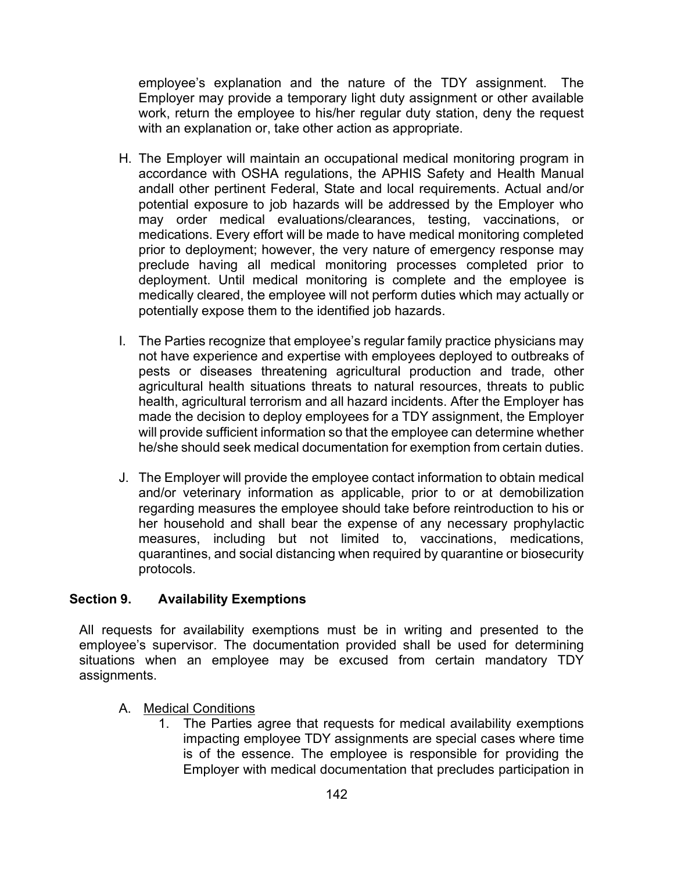employee's explanation and the nature of the TDY assignment. The Employer may provide a temporary light duty assignment or other available work, return the employee to his/her regular duty station, deny the request with an explanation or, take other action as appropriate.

- H. The Employer will maintain an occupational medical monitoring program in accordance with OSHA regulations, the APHIS Safety and Health Manual andall other pertinent Federal, State and local requirements. Actual and/or potential exposure to job hazards will be addressed by the Employer who may order medical evaluations/clearances, testing, vaccinations, or medications. Every effort will be made to have medical monitoring completed prior to deployment; however, the very nature of emergency response may preclude having all medical monitoring processes completed prior to deployment. Until medical monitoring is complete and the employee is medically cleared, the employee will not perform duties which may actually or potentially expose them to the identified job hazards.
- I. The Parties recognize that employee's regular family practice physicians may not have experience and expertise with employees deployed to outbreaks of pests or diseases threatening agricultural production and trade, other agricultural health situations threats to natural resources, threats to public health, agricultural terrorism and all hazard incidents. After the Employer has made the decision to deploy employees for a TDY assignment, the Employer will provide sufficient information so that the employee can determine whether he/she should seek medical documentation for exemption from certain duties.
- J. The Employer will provide the employee contact information to obtain medical and/or veterinary information as applicable, prior to or at demobilization regarding measures the employee should take before reintroduction to his or her household and shall bear the expense of any necessary prophylactic measures, including but not limited to, vaccinations, medications, quarantines, and social distancing when required by quarantine or biosecurity protocols.

### Section 9. Availability Exemptions

All requests for availability exemptions must be in writing and presented to the employee's supervisor. The documentation provided shall be used for determining situations when an employee may be excused from certain mandatory TDY assignments.

- A. Medical Conditions
	- The Parties agree that requests for medical availability exemptions impacting employee TDY assignments are special cases where time is of the essence. The employee is responsible for providing the Employer with medical documentation that precludes participation in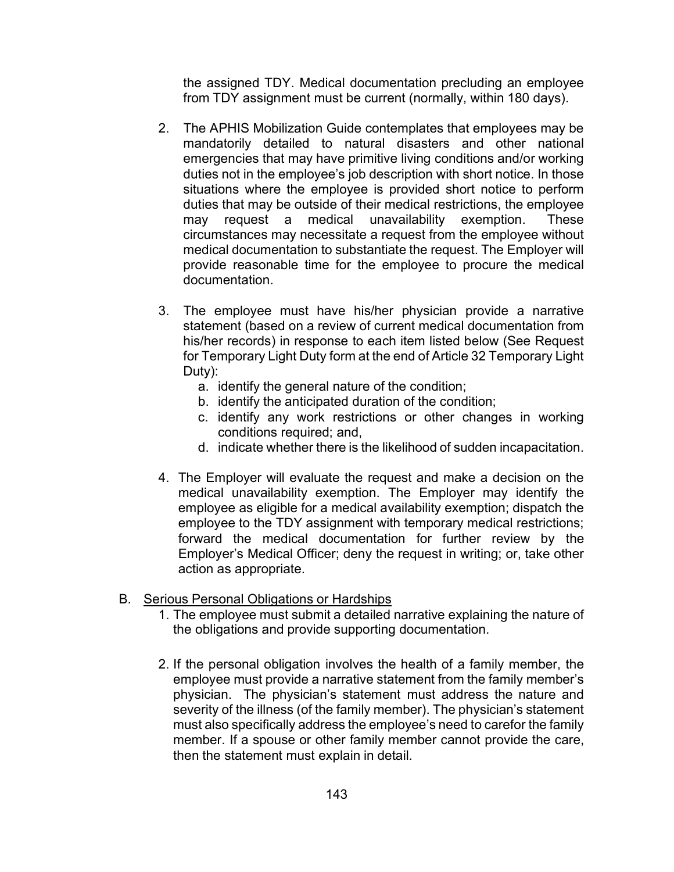the assigned TDY. Medical documentation precluding an employee from TDY assignment must be current (normally, within 180 days).

- 2. The APHIS Mobilization Guide contemplates that employees may be mandatorily detailed to natural disasters and other national emergencies that may have primitive living conditions and/or working duties not in the employee's job description with short notice. In those situations where the employee is provided short notice to perform duties that may be outside of their medical restrictions, the employee may request a medical unavailability exemption. These circumstances may necessitate a request from the employee without medical documentation to substantiate the request. The Employer will provide reasonable time for the employee to procure the medical documentation.
- 3. The employee must have his/her physician provide a narrative statement (based on a review of current medical documentation from his/her records) in response to each item listed below (See Request for Temporary Light Duty form at the end of Article 32 Temporary Light Duty):
	- a. identify the general nature of the condition;
	- b. identify the anticipated duration of the condition;
	- c. identify any work restrictions or other changes in working conditions required; and,
	- d. indicate whether there is the likelihood of sudden incapacitation.
- 4. The Employer will evaluate the request and make a decision on the medical unavailability exemption. The Employer may identify the employee as eligible for a medical availability exemption; dispatch the employee to the TDY assignment with temporary medical restrictions; forward the medical documentation for further review by the Employer's Medical Officer; deny the request in writing; or, take other action as appropriate.

#### B. Serious Personal Obligations or Hardships

- 1. The employee must submit a detailed narrative explaining the nature of the obligations and provide supporting documentation.
- 2. If the personal obligation involves the health of a family member, the employee must provide a narrative statement from the family member's physician. The physician's statement must address the nature and severity of the illness (of the family member). The physician's statement must also specifically address the employee's need to carefor the family member. If a spouse or other family member cannot provide the care, then the statement must explain in detail.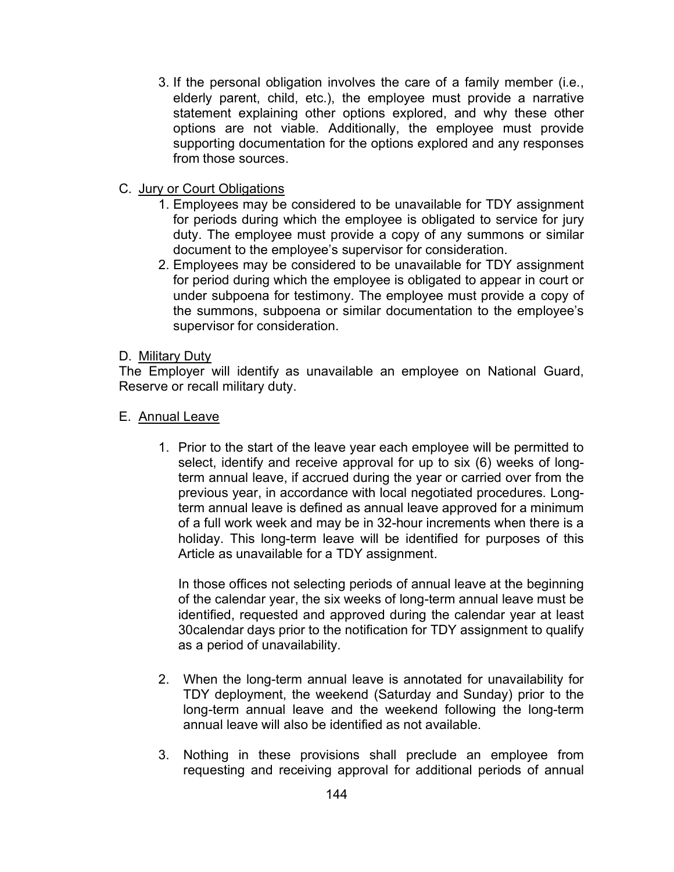- 3. If the personal obligation involves the care of a family member (i.e., elderly parent, child, etc.), the employee must provide a narrative statement explaining other options explored, and why these other options are not viable. Additionally, the employee must provide supporting documentation for the options explored and any responses from those sources.
- C. Jury or Court Obligations
	- 1. Employees may be considered to be unavailable for TDY assignment for periods during which the employee is obligated to service for jury duty. The employee must provide a copy of any summons or similar document to the employee's supervisor for consideration.
	- 2. Employees may be considered to be unavailable for TDY assignment for period during which the employee is obligated to appear in court or under subpoena for testimony. The employee must provide a copy of the summons, subpoena or similar documentation to the employee's supervisor for consideration.

### D. Military Duty

The Employer will identify as unavailable an employee on National Guard, Reserve or recall military duty.

## E. Annual Leave

1. Prior to the start of the leave year each employee will be permitted to select, identify and receive approval for up to six (6) weeks of longterm annual leave, if accrued during the year or carried over from the previous year, in accordance with local negotiated procedures. Longterm annual leave is defined as annual leave approved for a minimum of a full work week and may be in 32-hour increments when there is a holiday. This long-term leave will be identified for purposes of this Article as unavailable for a TDY assignment.

In those offices not selecting periods of annual leave at the beginning of the calendar year, the six weeks of long-term annual leave must be identified, requested and approved during the calendar year at least 30calendar days prior to the notification for TDY assignment to qualify as a period of unavailability.

- 2. When the long-term annual leave is annotated for unavailability for TDY deployment, the weekend (Saturday and Sunday) prior to the long-term annual leave and the weekend following the long-term annual leave will also be identified as not available.
- 3. Nothing in these provisions shall preclude an employee from requesting and receiving approval for additional periods of annual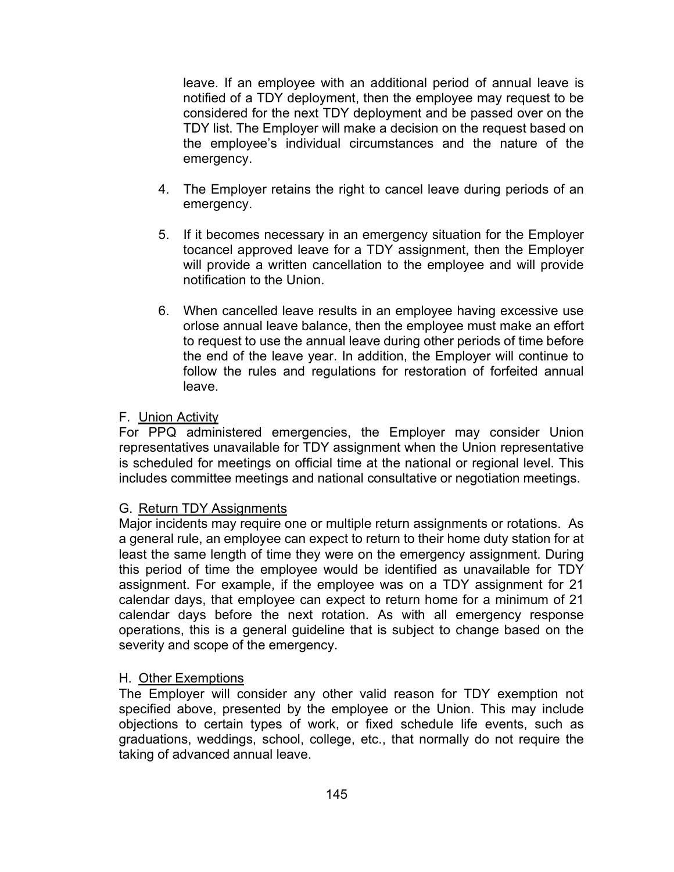leave. If an employee with an additional period of annual leave is notified of a TDY deployment, then the employee may request to be considered for the next TDY deployment and be passed over on the TDY list. The Employer will make a decision on the request based on the employee's individual circumstances and the nature of the emergency.

- 4. The Employer retains the right to cancel leave during periods of an emergency.
- 5. If it becomes necessary in an emergency situation for the Employer tocancel approved leave for a TDY assignment, then the Employer will provide a written cancellation to the employee and will provide notification to the Union.
- 6. When cancelled leave results in an employee having excessive use orlose annual leave balance, then the employee must make an effort to request to use the annual leave during other periods of time before the end of the leave year. In addition, the Employer will continue to follow the rules and regulations for restoration of forfeited annual leave.

### F. Union Activity

For PPQ administered emergencies, the Employer may consider Union representatives unavailable for TDY assignment when the Union representative is scheduled for meetings on official time at the national or regional level. This includes committee meetings and national consultative or negotiation meetings.

### G. Return TDY Assignments

Major incidents may require one or multiple return assignments or rotations. As a general rule, an employee can expect to return to their home duty station for at least the same length of time they were on the emergency assignment. During this period of time the employee would be identified as unavailable for TDY assignment. For example, if the employee was on a TDY assignment for 21 calendar days, that employee can expect to return home for a minimum of 21 calendar days before the next rotation. As with all emergency response operations, this is a general guideline that is subject to change based on the severity and scope of the emergency.

#### H. Other Exemptions

The Employer will consider any other valid reason for TDY exemption not specified above, presented by the employee or the Union. This may include objections to certain types of work, or fixed schedule life events, such as graduations, weddings, school, college, etc., that normally do not require the taking of advanced annual leave.